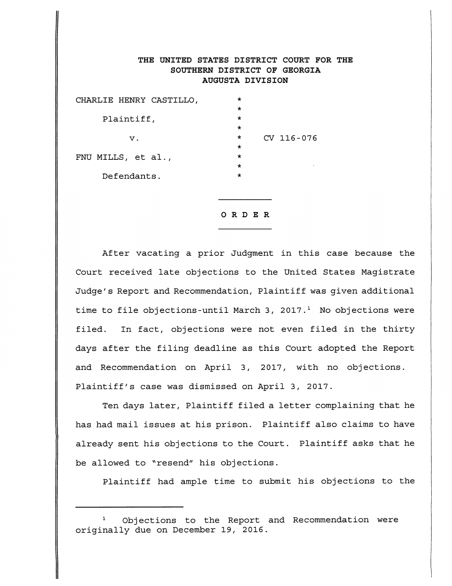## THE UNITED STATES DISTRICT COURT FOR THE SOUTHERN DISTRICT OF GEORGIA AUGUSTA DIVISION

| CHARLIE HENRY CASTILLO, | $\star$  |            |
|-------------------------|----------|------------|
|                         | $\star$  |            |
| Plaintiff,              | $\star$  |            |
|                         | $\star$  |            |
| ν.                      | $^\star$ | CV 116-076 |
|                         | $\star$  |            |
| FNU MILLS, et al.,      | $^\star$ |            |
|                         | $\star$  |            |
| Defendants.             | $\star$  |            |
|                         |          |            |

## ORDER

After vacating a prior Judgment in this case because the Court received late objections to the United States Magistrate Judge's Report and Recommendation, Plaintiff was given additional time to file objections-until March 3, 2017. $<sup>1</sup>$  No objections were</sup> filed. In fact, objections were not even filed in the thirtydays after the filing deadline as this Court adopted the Report and Recommendation on April 3, 2017, with no objections. Plaintiff's case was dismissed on April 3, 2017.

Ten days later, Plaintiff filed a letter complaining that he has had mail issues at his prison. Plaintiff also claims to have already sent his objections to the Court. Plaintiff asks that he be allowed to "resend" his objections.

Plaintiff had ample time to submit his objections to the

[Dockets.Justia.com](https://dockets.justia.com/)

Objections to the Report and Recommendation were originally due on December 19, 2016.